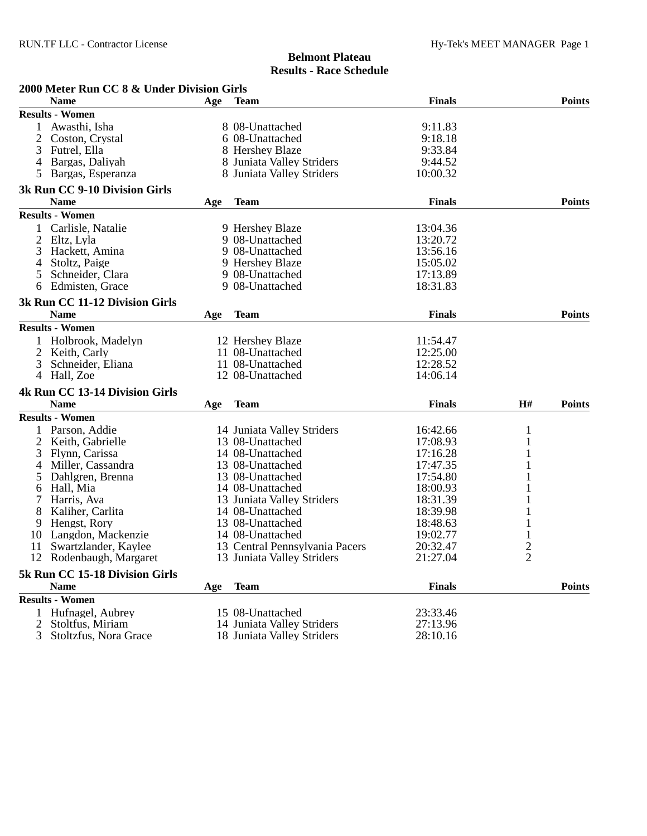## **Belmont Plateau Results - Race Schedule**

| 2000 Meter Run CC 8 & Under Division Girls |                                       |     |                                |               |                |               |  |  |
|--------------------------------------------|---------------------------------------|-----|--------------------------------|---------------|----------------|---------------|--|--|
|                                            | Name                                  | Age | <b>Team</b>                    | <b>Finals</b> |                | <b>Points</b> |  |  |
|                                            | <b>Results - Women</b>                |     |                                |               |                |               |  |  |
|                                            | 1 Awasthi, Isha                       |     | 8 08-Unattached                | 9:11.83       |                |               |  |  |
| 2                                          | Coston, Crystal                       |     | 6 08-Unattached                | 9:18.18       |                |               |  |  |
| 3                                          | Futrel, Ella                          |     | 8 Hershey Blaze                | 9:33.84       |                |               |  |  |
| 4                                          | Bargas, Daliyah                       |     | 8 Juniata Valley Striders      | 9:44.52       |                |               |  |  |
| 5.                                         | Bargas, Esperanza                     |     | 8 Juniata Valley Striders      | 10:00.32      |                |               |  |  |
|                                            | 3k Run CC 9-10 Division Girls         |     |                                |               |                |               |  |  |
|                                            | <b>Name</b>                           | Age | <b>Team</b>                    | <b>Finals</b> |                | <b>Points</b> |  |  |
|                                            | <b>Results - Women</b>                |     |                                |               |                |               |  |  |
|                                            | Carlisle, Natalie                     |     | 9 Hershey Blaze                | 13:04.36      |                |               |  |  |
| 2                                          | Eltz, Lyla                            |     | 9 08-Unattached                | 13:20.72      |                |               |  |  |
| 3                                          | Hackett, Amina                        |     | 9 08-Unattached                | 13:56.16      |                |               |  |  |
| 4                                          | Stoltz, Paige                         |     | 9 Hershey Blaze                | 15:05.02      |                |               |  |  |
| 5                                          | Schneider, Clara                      |     | 9 08-Unattached                | 17:13.89      |                |               |  |  |
| 6                                          | Edmisten, Grace                       |     | 9 08-Unattached                | 18:31.83      |                |               |  |  |
|                                            | 3k Run CC 11-12 Division Girls        |     |                                |               |                |               |  |  |
|                                            | <b>Name</b>                           | Age | <b>Team</b>                    | <b>Finals</b> |                | <b>Points</b> |  |  |
|                                            | <b>Results - Women</b>                |     |                                |               |                |               |  |  |
|                                            | Holbrook, Madelyn                     |     | 12 Hershey Blaze               | 11:54.47      |                |               |  |  |
|                                            | Keith, Carly                          |     | 11 08-Unattached               | 12:25.00      |                |               |  |  |
| 3                                          | Schneider, Eliana                     |     | 11 08-Unattached               | 12:28.52      |                |               |  |  |
|                                            | 4 Hall, Zoe                           |     | 12 08-Unattached               | 14:06.14      |                |               |  |  |
|                                            | <b>4k Run CC 13-14 Division Girls</b> |     |                                |               |                |               |  |  |
|                                            | <b>Name</b>                           | Age | <b>Team</b>                    | <b>Finals</b> | H#             | <b>Points</b> |  |  |
|                                            | <b>Results - Women</b>                |     |                                |               |                |               |  |  |
|                                            | Parson, Addie                         |     | 14 Juniata Valley Striders     | 16:42.66      | $\mathbf{1}$   |               |  |  |
| 2                                          | Keith, Gabrielle                      |     | 13 08-Unattached               | 17:08.93      | 1              |               |  |  |
| 3                                          | Flynn, Carissa                        |     | 14 08-Unattached               | 17:16.28      |                |               |  |  |
| 4                                          | Miller, Cassandra                     |     | 13 08-Unattached               | 17:47.35      |                |               |  |  |
| 5                                          | Dahlgren, Brenna                      |     | 13 08-Unattached               | 17:54.80      |                |               |  |  |
| 6                                          | Hall, Mia                             |     | 14 08-Unattached               | 18:00.93      |                |               |  |  |
|                                            | Harris, Ava                           |     | 13 Juniata Valley Striders     | 18:31.39      |                |               |  |  |
| 8                                          | Kaliher, Carlita                      |     | 14 08-Unattached               | 18:39.98      | 1              |               |  |  |
| 9                                          | Hengst, Rory                          |     | 13 08-Unattached               | 18:48.63      |                |               |  |  |
| 10                                         | Langdon, Mackenzie                    |     | 14 08-Unattached               | 19:02.77      | $\mathbf{1}$   |               |  |  |
| 11                                         | Swartzlander, Kaylee                  |     | 13 Central Pennsylvania Pacers | 20:32.47      | $\overline{2}$ |               |  |  |
|                                            | 12 Rodenbaugh, Margaret               |     | 13 Juniata Valley Striders     | 21:27.04      | 2              |               |  |  |
|                                            | 5k Run CC 15-18 Division Girls        |     |                                |               |                |               |  |  |
|                                            | <b>Name</b>                           | Age | <b>Team</b>                    | <b>Finals</b> |                | <b>Points</b> |  |  |
|                                            | <b>Results - Women</b>                |     |                                |               |                |               |  |  |
|                                            | 1 Hufnagel, Aubrey                    |     | 15 08-Unattached               | 23:33.46      |                |               |  |  |
| $\overline{2}$                             | Stoltfus, Miriam                      |     | 14 Juniata Valley Striders     | 27:13.96      |                |               |  |  |
| 3                                          | Stoltzfus, Nora Grace                 |     | 18 Juniata Valley Striders     | 28:10.16      |                |               |  |  |